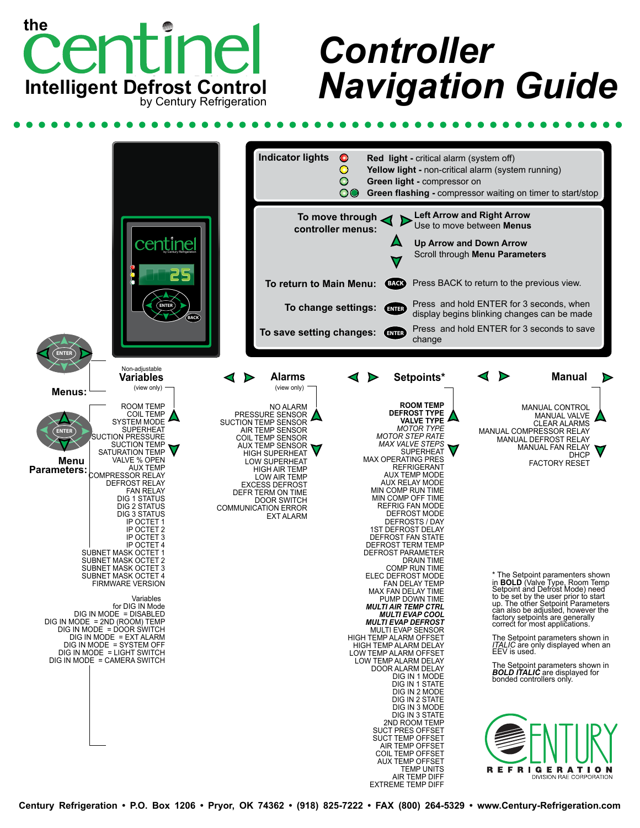

## *Controller Navigation Guide*